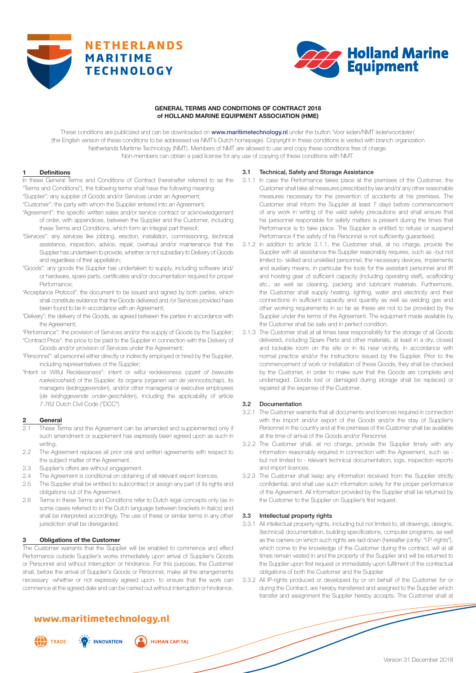



# **GENERAL TERMS AND CONDITIONS OF CONTRACT 2018 of HOLLAND MARINE EQUIPMENT ASSOCIATION (HME)**

These conditions are publicized and can be downloaded on www.maritimetechnology.nl under the button 'Voor leden/NMT ledenvoordelen' (the English version of these conditions to be addressed via NMT's Dutch homepage). Copyright in these conditions is vested with branch organization Netherlands Maritime Technology (NMT). Members of NMT are allowed to use and copy these conditions free of charge. Non-members can obtain a paid license for any use of copying of these conditions with NMT.

### **1 Definitions**

In these General Terms and Conditions of Contract (hereinafter referred to as the "Terms and Conditions"), the following terms shall have the following meaning: "Supplier": any supplier of Goods and/or Services under an Agreement;

"Customer": the party with whom the Supplier entered into an Agreement;

- "Agreement": the specific written sales and/or service contract or acknowledgement of order, with appendices, between the Supplier and the Customer, including these Terms and Conditions, which form an integral part thereof;
- "Services": any services like jobbing, erection, installation, commissioning, technical assistance, inspection, advice, repair, overhaul and/or maintenance that the Supplier has undertaken to provide, whether or not subsidiary to Delivery of Goods and regardless of their appellation;
- "Goods": any goods the Supplier has undertaken to supply, including software and/ or hardware, spare parts, certificates and/or documentation required for proper Performance;
- "Acceptance Protocol": the document to be issued and signed by both parties, which shall constitute evidence that the Goods delivered and /or Services provided have been found to be in accordance with an Agreement;
- "Delivery": the delivery of the Goods, as agreed between the parties in accordance with the Agreement;
- "Performance": the provision of Services and/or the supply of Goods by the Supplier; "Contract Price": the price to be paid to the Supplier in connection with the Delivery of Goods and/or provision of Services under the Agreement;
- "Personnel": all personnel either directly or indirectly employed or hired by the Supplier, including representatives of the Supplier;
- "Intent or Wilful Recklessness": intent or wilful recklessness (*opzet of bewuste roekeloosheid*) of the Supplier, its organs (*organen van de vennootschap*), its managers (*leidinggevenden*), and/or other managerial or executive employees (*de leidinggevende onder-geschikten*), including the applicability of article 7:762 Dutch Civil Code ("DCC").

### **2 General**

- These Terms and the Agreement can be amended and supplemented only if such amendment or supplement has expressly been agreed upon as such in writing.
- 2.2 The Agreement replaces all prior oral and written agreements with respect to the subject matter of the Agreement.
- 2.3 Supplier's offers are without engagement.
- 2.4 The Agreement is conditional on obtaining of all relevant export licences.
- 2.5 The Supplier shall be entitled to subcontract or assign any part of its rights and obligations out of the Agreement.
- 2.6 Terms in these Terms and Conditions refer to Dutch legal concepts only (as in some cases referred to in the Dutch language between brackets in italics) and shall be interpreted accordingly. The use of these or similar terms in any other jurisdiction shall be disregarded.

### **3 Obligations of the Customer**

The Customer warrants that the Supplier will be enabled to commence and effect Performance outside Supplier's works immediately upon arrival of Supplier's Goods or Personnel and without interruption or hindrance. For this purpose, the Customer shall, before the arrival of Supplier's Goods or Personnel, make all the arrangements necessary -whether or not expressly agreed upon- to ensure that the work can commence at the agreed date and can be carried out without interruption or hindrance.

# **www.maritimetechnology.nl**



 $\frac{1}{2}$  INNOVATION **HUMAN CAPITAL** 

### 3.1 Technical, Safety and Storage Assistance

- 3.1.1 In case the Performance takes place at the premises of the Customer, the Customer shall take all measures prescribed by law and/or any other reasonable measures necessary for the prevention of accidents at his premises. The Customer shall inform the Supplier at least 7 days before commencement of any work in writing of the valid safety precautions and shall ensure that his personnel responsible for safety matters is present during the times that Performance is to take place. The Supplier is entitled to refuse or suspend Performance if the safety of his Personnel is not sufficiently quaranteed.
- 3.1.2 In addition to article 3.1.1, the Customer shall, at no charge, provide the Supplier with all assistance the Supplier reasonably requires, such as -but not limited to- skilled and unskilled personnel, the necessary devices, implements and auxiliary means, in particular the tools for the assistant personnel and lift and hoisting gear of sufficient capacity (including operating staff), scaffolding etc., as well as cleaning, packing and lubricant materials. Furthermore, the Customer shall supply heating, lighting, water and electricity and their connections in sufficient capacity and quantity as well as welding gas and other working requirements in so far as these are not to be provided by the Supplier under the terms of the Agreement. The equipment made available by the Customer shall be safe and in perfect condition.
- 3.1.3 The Customer shall at all times bear responsibility for the storage of all Goods delivered, including Spare Parts and other materials, at least in a dry, closed and lockable room on the site or in its near vicinity, in accordance with normal practice and/or the instructions issued by the Supplier. Prior to the commencement of work or installation of these Goods, they shall be checked by the Customer, in order to make sure that the Goods are complete and undamaged. Goods lost or damaged during storage shall be replaced or repaired at the expense of the Customer.

### 3.2 Documentation

- 3.2.1 The Customer warrants that all documents and licences required in connection with the import and/or export of the Goods and/or the stay of Supplier's Personnel in the country and at the premises of the Customer shall be available at the time of arrival of the Goods and/or Personnel.
- 3.2.2 The Customer shall, at no charge, provide the Supplier timely with any information reasonably required in connection with the Agreement, such as but not limited to - relevant technical documentation, logs, inspection reports and import licences.
- 3.2.3 The Customer shall keep any information received from the Supplier strictly confidential, and shall use such information solely for the proper performance of the Agreement. All information provided by the Supplier shall be returned by the Customer to the Supplier on Supplier's first request.

### 3.3 Intellectual property rights

- 3.3.1 All intellectual property rights, including but not limited to, all drawings, designs, (technical) documentation, building specifications, computer programs, as well as the carriers on which such rights are laid down (hereafter jointly: "I.P.-rights"), which come to the knowledge of the Customer during the contract, will at all times remain vested in and the property of the Supplier and will be returned to the Supplier upon first request or immediately upon fulfilment of the contractual obligations of both the Customer and the Supplier.
- 3.3.2 All IP-rights produced or developed by or on behalf of the Customer for or during the Contract, are hereby transferred and assigned to the Supplier which transfer and assignment the Supplier hereby accepts. The Customer shall at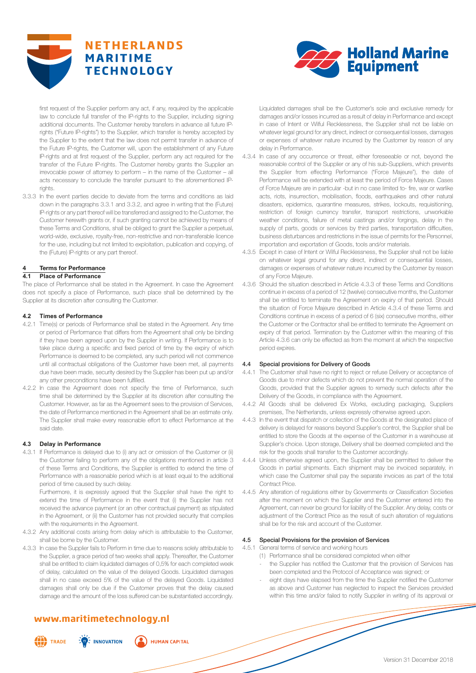



first request of the Supplier perform any act, if any, required by the applicable law to conclude full transfer of the IP-rights to the Supplier, including signing additional documents. The Customer hereby transfers in advance all future IPrights ("Future IP-rights") to the Supplier, which transfer is hereby accepted by the Supplier to the extent that the law does not permit transfer in advance of the Future IP-rights, the Customer will, upon the establishment of any Future IP-rights and at first request of the Supplier, perform any act required for the transfer of the Future IP-rights. The Customer hereby grants the Supplier an irrevocable power of attorney to perform – in the name of the Customer – all acts necessary to conclude the transfer pursuant to the aforementioned IPrights.

3.3.3 In the event parties decide to deviate from the terms and conditions as laid down in the paragraphs 3.3.1 and 3.3.2, and agree in writing that the (Future) IP-rights or any part thereof will be transferred and assigned to the Customer, the Customer herewith grants or, if such granting cannot be achieved by means of these Terms and Conditions, shall be obliged to grant the Supplier a perpetual, world-wide, exclusive, royalty-free, non-restrictive and non-transferable licence for the use, including but not limited to exploitation, publication and copying, of the (Future) IP-rights or any part thereof.

# **4 Terms for Performance**

# **4.1 Place of Performance**

The place of Performance shall be stated in the Agreement. In case the Agreement does not specify a place of Performance, such place shall be determined by the Supplier at its discretion after consulting the Customer.

#### **4.2 Times of Performance**

- 4.2.1 Time(s) or periods of Performance shall be stated in the Agreement. Any time or period of Performance that differs from the Agreement shall only be binding if they have been agreed upon by the Supplier in writing. If Performance is to take place during a specific and fixed period of time by the expiry of which Performance is deemed to be completed, any such period will not commence until all contractual obligations of the Customer have been met, all payments due have been made, security desired by the Supplier has been put up and/or any other preconditions have been fulfilled.
- 4.2.2 In case the Agreement does not specify the time of Performance, such time shall be determined by the Supplier at its discretion after consulting the Customer. However, as far as the Agreement sees to the provision of Services, the date of Performance mentioned in the Agreement shall be an estimate only. The Supplier shall make every reasonable effort to effect Performance at the said date.

### **4.3 Delay in Performance**

4.3.1 If Performance is delayed due to (i) any act or omission of the Customer or (ii) the Customer failing to perform any of the obligations mentioned in article 3 of these Terms and Conditions, the Supplier is entitled to extend the time of Performance with a reasonable period which is at least equal to the additional period of time caused by such delay.

Furthermore, it is expressly agreed that the Supplier shall have the right to extend the time of Performance in the event that (i) the Supplier has not received the advance payment (or an other contractual payment) as stipulated in the Agreement, or (ii) the Customer has not provided security that complies with the requirements in the Agreement.

- 4.3.2 Any additional costs arising from delay which is attributable to the Customer, shall be borne by the Customer.
- 4.3.3 In case the Supplier fails to Perform in time due to reasons solely attributable to the Supplier, a grace period of two weeks shall apply. Thereafter, the Customer shall be entitled to claim liquidated damages of 0,5% for each completed week of delay, calculated on the value of the delayed Goods. Liquidated damages shall in no case exceed 5% of the value of the delayed Goods. Liquidated damages shall only be due if the Customer proves that the delay caused damage and the amount of the loss suffered can be substantiated accordingly.

# **www.maritimetechnology.nl**

 $\frac{1}{2}$  INNOVATION



**HUMAN CAPITAL** 

Liquidated damages shall be the Customer's sole and exclusive remedy for damages and/or losses incurred as a result of delay in Performance and except in case of Intent or Wilful Recklessness, the Supplier shall not be liable on whatever legal ground for any direct, indirect or consequential losses, damages or expenses of whatever nature incurred by the Customer by reason of any delay in Performance.

- 4.3.4 In case of any occurrence or threat, either foreseeable or not, beyond the reasonable control of the Supplier or any of his sub-Suppliers, which prevents the Supplier from effecting Performance ("Force Majeure"), the date of Performance will be extended with at least the period of Force Majeure. Cases of Force Majeure are in particular -but in no case limited to- fire, war or warlike acts, riots, insurrection, mobilisation, floods, earthquakes and other natural disasters, epidemics, quarantine measures, strikes, lockouts, requisitioning, restriction of foreign currency transfer, transport restrictions, unworkable weather conditions, failure of metal castings and/or forgings, delay in the supply of parts, goods or services by third parties, transportation difficulties, business disturbances and restrictions in the issue of permits for the Personnel, importation and exportation of Goods, tools and/or materials.
- 4.3.5 Except in case of Intent or Wilful Recklessness, the Supplier shall not be liable on whatever legal ground for any direct, indirect or consequential losses, damages or expenses of whatever nature incurred by the Customer by reason of any Force Majeure.
- 4.3.6 Should the situation described in Article 4.3.3 of these Terms and Conditions continue in excess of a period of 12 (twelve) consecutive months, the Customer shall be entitled to terminate the Agreement on expiry of that period. Should the situation of Force Majeure described in Article 4.3.4 of these Terms and Conditions continue in excess of a period of 6 (six) consecutive months, either the Customer or the Contractor shall be entitled to terminate the Agreement on expiry of that period. Termination by the Customer within the meaning of this Article 4.3.6 can only be effected as from the moment at which the respective period expires.

# 4.4 Special provisions for Delivery of Goods

- 4.4.1 The Customer shall have no right to reject or refuse Delivery or acceptance of Goods due to minor defects which do not prevent the normal operation of the Goods, provided that the Supplier agrees to remedy such defects after the Delivery of the Goods, in compliance with the Agreement.
- 4.4.2 All Goods shall be delivered Ex Works, excluding packaging, Suppliers premises, The Netherlands, unless expressly otherwise agreed upon.
- 4.4.3 In the event that dispatch or collection of the Goods at the designated place of delivery is delayed for reasons beyond Supplier's control, the Supplier shall be entitled to store the Goods at the expense of the Customer in a warehouse at Supplier's choice. Upon storage, Delivery shall be deemed completed and the risk for the goods shall transfer to the Customer accordingly.
- 4.4.4 Unless otherwise agreed upon, the Supplier shall be permitted to deliver the Goods in partial shipments. Each shipment may be invoiced separately, in which case the Customer shall pay the separate invoices as part of the total Contract Price.
- 4.4.5 Any alteration of regulations either by Governments or Classification Societies after the moment on which the Supplier and the Customer entered into the Agreement, can never be ground for liability of the Supplier. Any delay, costs or adjustment of the Contract Price as the result of such alteration of regulations shall be for the risk and account of the Customer.

# 4.5 Special Provisions for the provision of Services

4.5.1 General terms of service and working hours

- (1) Performance shall be considered completed when either
- the Supplier has notified the Customer that the provision of Services has been completed and the Protocol of Acceptance was signed; or
- eight days have elapsed from the time the Supplier notified the Customer as above and Customer has neglected to inspect the Services provided within this time and/or failed to notify Supplier in writing of its approval or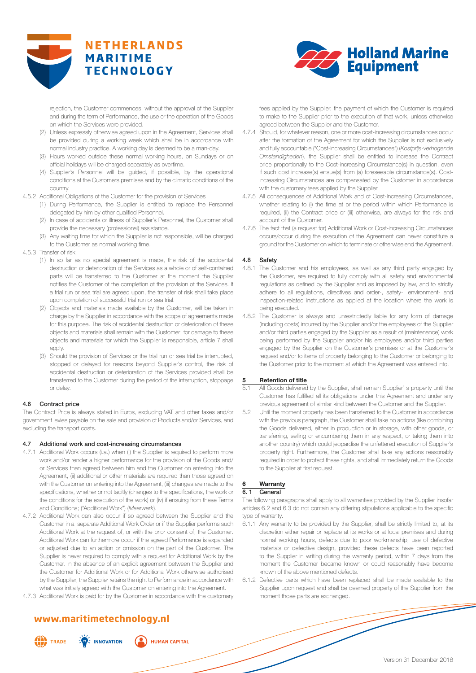



rejection, the Customer commences, without the approval of the Supplier and during the term of Performance, the use or the operation of the Goods on which the Services were provided.

- (2) Unless expressly otherwise agreed upon in the Agreement, Services shall be provided during a working week which shall be in accordance with normal industry practice. A working day is deemed to be a man-day.
- (3) Hours worked outside these normal working hours, on Sundays or on official holidays will be charged separately as overtime.
- (4) Supplier's Personnel will be guided, if possible, by the operational conditions at the Customers premises and by the climatic conditions of the country.
- 4.5.2 Additional Obligations of the Customer for the provision of Services
	- (1) During Performance, the Supplier is entitled to replace the Personnel delegated by him by other qualified Personnel.
	- (2) In case of accidents or illness of Supplier's Personnel, the Customer shall provide the necessary (professional) assistance.
	- (3) Any waiting time for which the Supplier is not responsible, will be charged to the Customer as normal working time.
- 4.5.3 Transfer of risk
	- (1) In so far as no special agreement is made, the risk of the accidental destruction or deterioration of the Services as a whole or of self-contained parts will be transferred to the Customer at the moment the Supplier notifies the Customer of the completion of the provision of the Services. If a trial run or sea trial are agreed upon, the transfer of risk shall take place upon completion of successful trial run or sea trial.
	- (2) Objects and materials made available by the Customer, will be taken in charge by the Supplier in accordance with the scope of agreements made for this purpose. The risk of accidental destruction or deterioration of these objects and materials shall remain with the Customer; for damage to these objects and materials for which the Supplier is responsible, article 7 shall apply.
	- (3) Should the provision of Services or the trial run or sea trial be interrupted, stopped or delayed for reasons beyond Supplier's control, the risk of accidental destruction or deterioration of the Services provided shall be transferred to the Customer during the period of the interruption, stoppage or delay.

# 4.6 Contract price

The Contract Price is always stated in Euros, excluding VAT and other taxes and/or government levies payable on the sale and provision of Products and/or Services, and excluding the transport costs.

### 4.7 Additional work and cost-increasing circumstances

- 4.7.1 Additional Work occurs (i.a.) when (i) the Supplier is required to perform more work and/or render a higher performance for the provision of the Goods and/ or Services than agreed between him and the Customer on entering into the Agreement, (ii) additional or other materials are required than those agreed on with the Customer on entering into the Agreement, (iii) changes are made to the specifications, whether or not tacitly (changes to the specifications, the work or the conditions for the execution of the work) or (iv) if ensuing from these Terms and Conditions; ("Additional Work") (*Meerwerk*).
- 4.7.2 Additional Work can also occur if so agreed between the Supplier and the Customer in a separate Additional Work Order or if the Supplier performs such Additional Work at the request of, or with the prior consent of, the Customer. Additional Work can furthermore occur if the agreed Performance is expanded or adjusted due to an action or omission on the part of the Customer. The Supplier is never required to comply with a request for Additional Work by the Customer. In the absence of an explicit agreement between the Supplier and the Customer for Additional Work or for Additional Work otherwise authorised by the Supplier, the Supplier retains the right to Performance in accordance with what was initially agreed with the Customer on entering into the Agreement.
- 4.7.3 Additional Work is paid for by the Customer in accordance with the customary

# **www.maritimetechnology.nl**

 $\frac{1}{2}$  INNOVATION



**HUMAN CAPITAL** 

fees applied by the Supplier, the payment of which the Customer is required to make to the Supplier prior to the execution of that work, unless otherwise agreed between the Supplier and the Customer.

- 4.7.4 Should, for whatever reason, one or more cost-increasing circumstances occur after the formation of the Agreement for which the Supplier is not exclusively and fully accountable ("Cost-increasing Circumstances") (*Kostprijs-verhogende Omstandigheden*), the Supplier shall be entitled to increase the Contract price proportionally to the Cost-increasing Circumstance(s) in question, even if such cost increase(s) ensue(s) from (a) foreseeable circumstance(s). Costincreasing Circumstances are compensated by the Customer in accordance with the customary fees applied by the Supplier.
- 4.7.5 All consequences of Additional Work and of Cost-increasing Circumstances, whether relating to (i) the time at or the period within which Performance is required, (ii) the Contract price or (iii) otherwise, are always for the risk and account of the Customer.
- 4.7.6 The fact that (a request for) Additional Work or Cost-increasing Circumstances occurs/occur during the execution of the Agreement can never constitute a ground for the Customer on which to terminate or otherwise end the Agreement.

### 4.8 Safety

- 4.8.1 The Customer and his employees, as well as any third party engaged by the Customer, are required to fully comply with all safety and environmental regulations as defined by the Supplier and as imposed by law, and to strictly adhere to all regulations, directives and order-, safety-, environment- and inspection-related instructions as applied at the location where the work is being executed.
- 4.8.2 The Customer is always and unrestrictedly liable for any form of damage (including costs) incurred by the Supplier and/or the employees of the Supplier and/or third parties engaged by the Supplier as a result of (maintenance) work being performed by the Supplier and/or his employees and/or third parties engaged by the Supplier on the Customer's premises or at the Customer's request and/or to items of property belonging to the Customer or belonging to the Customer prior to the moment at which the Agreement was entered into.

# **5 Retention of title**<br> **5.1 All Goods delivered**

- All Goods delivered by the Supplier, shall remain Supplier' s property until the Customer has fulfilled all its obligations under this Agreement and under any previous agreement of similar kind between the Customer and the Supplier.
- 5.2 Until the moment property has been transferred to the Customer in accordance with the previous paragraph, the Customer shall take no actions (like combining the Goods delivered, either in production or in storage, with other goods, or transferring, selling or encumbering them in any respect, or taking them into another country) which could jeopardise the unfettered execution of Supplier's property right. Furthermore, the Customer shall take any actions reasonably required in order to protect these rights, and shall immediately return the Goods to the Supplier at first request.

# **6 Warranty**

## 6. 1 General

The following paragraphs shall apply to all warranties provided by the Supplier insofar articles 6.2 and 6.3 do not contain any differing stipulations applicable to the specific type of warranty

- 6.1.1 Any warranty to be provided by the Supplier, shall be strictly limited to, at its discretion either repair or replace at its works or at local premises and during normal working hours, defects due to poor workmanship, use of defective materials or defective design, provided these defects have been reported to the Supplier in writing during the warranty period, within 7 days from the moment the Customer became known or could reasonably have become known of the above mentioned defects.
- 6.1.2 Defective parts which have been replaced shall be made available to the Supplier upon request and shall be deemed property of the Supplier from the moment those parts are exchanged.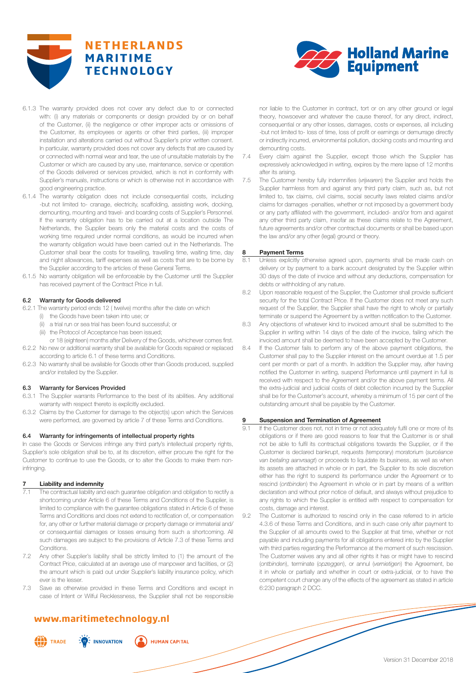



- 6.1.3 The warranty provided does not cover any defect due to or connected with: (i) any materials or components or design provided by or on behalf of the Customer, (ii) the negligence or other improper acts or omissions of the Customer, its employees or agents or other third parties, (iii) improper installation and alterations carried out without Supplier's prior written consent. In particular, warranty provided does not cover any defects that are caused by or connected with normal wear and tear, the use of unsuitable materials by the Customer or which are caused by any use, maintenance, service or operation of the Goods delivered or services provided, which is not in conformity with Supplier's manuals, instructions or which is otherwise not in accordance with good engineering practice.
- 6.1.4 The warranty obligation does not include consequential costs, including -but not limited to- cranage, electricity, scaffolding, assisting work, docking, demounting, mounting and travel- and boarding costs of Supplier's Personnel. If the warranty obligation has to be carried out at a location outside The Netherlands, the Supplier bears only the material costs and the costs of working time required under normal conditions, as would be incurred when the warranty obligation would have been carried out in the Netherlands. The Customer shall bear the costs for travelling, travelling time, waiting time, day and night allowances, tariff expenses as well as costs that are to be borne by the Supplier according to the articles of these General Terms.
- 6.1.5 No warranty obligation will be enforceable by the Customer until the Supplier has received payment of the Contract Price in full.

### 6.2 Warranty for Goods delivered

- 6.2.1 The warranty period ends 12 ( twelve) months after the date on which
	- (i) the Goods have been taken into use; or
	- (ii) a trial run or sea trial has been found successful; or
	- (iii) the Protocol of Acceptance has been issued;
- or 18 (eighteen) months after Delivery of the Goods, whichever comes first. 6.2.2 No new or additional warranty shall be available for Goods repaired or replaced
- according to article 6.1 of these terms and Conditions.
- 6.2.3 No warranty shall be available for Goods other than Goods produced, supplied and/or installed by the Supplier.

# 6.3 Warranty for Services Provided

- 6.3.1 The Supplier warrants Performance to the best of its abilities. Any additional warranty with respect thereto is explicitly excluded.
- 6.3.2 Claims by the Customer for damage to the object(s) upon which the Services were performed, are governed by article 7 of these Terms and Conditions.

# 6.4 Warranty for infringements of intellectual property rights

In case the Goods or Services infringe any third party's intellectual property rights, Supplier's sole obligation shall be to, at its discretion, either procure the right for the Customer to continue to use the Goods, or to alter the Goods to make them noninfringing.

# **7 Liability and indemnity**

- The contractual liability and each guarantee obligation and obligation to rectify a shortcoming under Article 6 of these Terms and Conditions of the Supplier, is limited to compliance with the guarantee obligations stated in Article 6 of these Terms and Conditions and does not extend to rectification of, or compensation for, any other or further material damage or property damage or immaterial and/ or consequential damages or losses ensuing from such a shortcoming. All such damages are subject to the provisions of Article 7.3 of these Terms and Conditions.
- 7.2 Any other Supplier's liability shall be strictly limited to (1) the amount of the Contract Price, calculated at an average use of manpower and facilities, or (2) the amount which is paid out under Supplier's liability insurance policy, which ever is the lesser.
- 7.3 Save as otherwise provided in these Terms and Conditions and except in case of Intent or Wilful Recklessness, the Supplier shall not be responsible

# **www.maritimetechnology.nl**

 $\frac{1}{2}$  INNOVATION



**HUMAN CAPITAL** 

nor liable to the Customer in contract, tort or on any other ground or legal theory, howsoever and whatever the cause thereof, for any direct, indirect, consequential or any other losses, damages, costs or expenses, all including -but not limited to- loss of time, loss of profit or earnings or demurrage directly or indirectly incurred, environmental pollution, docking costs and mounting and demounting costs.

- Every claim against the Supplier, except those which the Supplier has expressively acknowledged in writing, expires by the mere lapse of 12 months after its arising.
- 7.5 The Customer hereby fully indemnifies (*vrijwaren*) the Supplier and holds the Supplier harmless from and against any third party claim, such as, but not limited to, tax claims, civil claims, social security laws related claims and/or claims for damages -penalties, whether or not imposed by a government body or any party affiliated with the government, included- and/or from and against any other third party claim, insofar as these claims relate to the Agreement, future agreements and/or other contractual documents or shall be based upon the law and/or any other (legal) ground or theory.

### **8 Payment Terms**

- Unless explicitly otherwise agreed upon, payments shall be made cash on delivery or by payment to a bank account designated by the Supplier within 30 days of the date of invoice and without any deductions, compensation for debts or withholding of any nature.
- 8.2 Upon reasonable request of the Supplier, the Customer shall provide sufficient security for the total Contract Price. If the Customer does not meet any such request of the Supplier, the Supplier shall have the right to wholly or partially terminate or suspend the Agreement by a written notification to the Customer.
- 8.3 Any objections of whatever kind to invoiced amount shall be submitted to the Supplier in writing within 14 days of the date of the invoice, failing which the invoiced amount shall be deemed to have been accepted by the Customer.
- 8.4 If the Customer fails to perform any of the above payment obligations, the Customer shall pay to the Supplier interest on the amount overdue at 1.5 per cent per month or part of a month. In addition the Supplier may, after having notified the Customer in writing, suspend Performance until payment in full is received with respect to the Agreement and/or the above payment terms. All the extra-judicial and judicial costs of debt collection incurred by the Supplier shall be for the Customer's account, whereby a minimum of 15 per cent of the outstanding amount shall be payable by the Customer.

### **9 Suspension and Termination of Agreement**

- 9.1 If the Customer does not, not in time or not adequately fulfil one or more of its obligations or if there are good reasons to fear that the Customer is or shall not be able to fulfil its contractual obligations towards the Supplier, or if the Customer is declared bankrupt, requests (temporary) moratorium (*surcéance van betaling aanvraagt*) or proceeds to liquidate its business, as well as when its assets are attached in whole or in part, the Supplier to its sole discretion either has the right to suspend its performance under the Agreement or to rescind (*ontbinden*) the Agreement in whole or in part by means of a written declaration and without prior notice of default, and always without prejudice to any rights to which the Supplier is entitled with respect to compensation for costs, damage and interest.
- 9.2 The Customer is authorized to rescind only in the case referred to in article 4.3.6 of these Terms and Conditions, and in such case only after payment to the Supplier of all amounts owed to the Supplier at that time, whether or not payable and including payments for all obligations entered into by the Supplier with third parties regarding the Performance at the moment of such rescission. The Customer waives any and all other rights it has or might have to rescind (*ontbinden*), terminate (*opzeggen*), or annul (*vernietigen*) the Agreement, be it in whole or partially and whether in court or extra-judicial, or to have the competent court change any of the effects of the agreement as stated in article 6:230 paragraph 2 DCC.